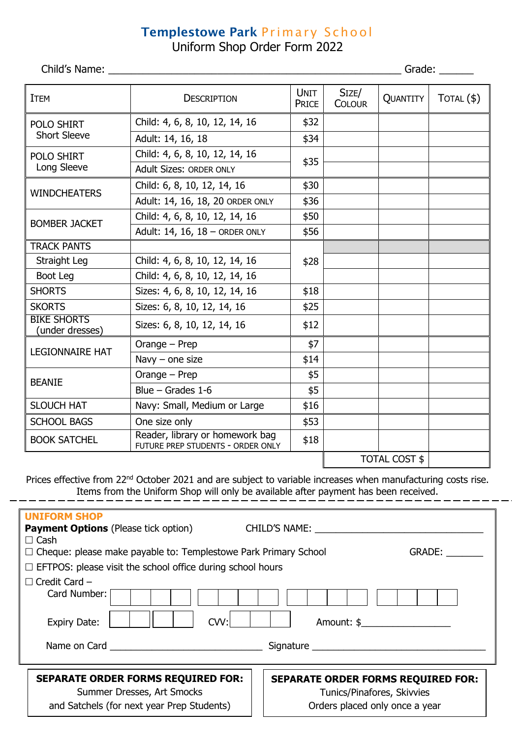## Templestowe Park Primary School

Uniform Shop Order Form 2022

Child's Name: \_\_\_\_\_\_\_\_\_\_\_\_\_\_\_\_\_\_\_\_\_\_\_\_\_\_\_\_\_\_\_\_\_\_\_\_\_\_\_\_\_\_\_\_\_\_\_\_\_\_\_ Grade: \_\_\_\_\_\_

| <b>ITEM</b>                              | <b>DESCRIPTION</b>                                                   | <b>UNIT</b><br><b>PRICE</b> | SIZE/<br><b>COLOUR</b> | QUANTITY | $TOTAL($ \$) |
|------------------------------------------|----------------------------------------------------------------------|-----------------------------|------------------------|----------|--------------|
| <b>POLO SHIRT</b><br><b>Short Sleeve</b> | Child: 4, 6, 8, 10, 12, 14, 16                                       | \$32                        |                        |          |              |
|                                          | Adult: 14, 16, 18                                                    | \$34                        |                        |          |              |
| POLO SHIRT<br>Long Sleeve                | Child: 4, 6, 8, 10, 12, 14, 16                                       | \$35                        |                        |          |              |
|                                          | <b>Adult Sizes: ORDER ONLY</b>                                       |                             |                        |          |              |
| <b>WINDCHEATERS</b>                      | Child: 6, 8, 10, 12, 14, 16                                          | \$30                        |                        |          |              |
|                                          | Adult: 14, 16, 18, 20 ORDER ONLY                                     | \$36                        |                        |          |              |
| <b>BOMBER JACKET</b>                     | Child: 4, 6, 8, 10, 12, 14, 16                                       | \$50                        |                        |          |              |
|                                          | Adult: 14, 16, 18 - ORDER ONLY                                       | \$56                        |                        |          |              |
| <b>TRACK PANTS</b>                       |                                                                      |                             |                        |          |              |
| Straight Leg                             | Child: 4, 6, 8, 10, 12, 14, 16                                       | \$28                        |                        |          |              |
| Boot Leg                                 | Child: 4, 6, 8, 10, 12, 14, 16                                       |                             |                        |          |              |
| <b>SHORTS</b>                            | Sizes: 4, 6, 8, 10, 12, 14, 16                                       | \$18                        |                        |          |              |
| <b>SKORTS</b>                            | Sizes: 6, 8, 10, 12, 14, 16                                          | \$25                        |                        |          |              |
| <b>BIKE SHORTS</b><br>(under dresses)    | Sizes: 6, 8, 10, 12, 14, 16                                          | \$12                        |                        |          |              |
| <b>LEGIONNAIRE HAT</b>                   | Orange - Prep                                                        | \$7                         |                        |          |              |
|                                          | Navy $-$ one size                                                    | \$14                        |                        |          |              |
| <b>BEANIE</b>                            | Orange - Prep                                                        | \$5                         |                        |          |              |
|                                          | Blue $-$ Grades 1-6                                                  | \$5                         |                        |          |              |
| <b>SLOUCH HAT</b>                        | Navy: Small, Medium or Large                                         | \$16                        |                        |          |              |
| <b>SCHOOL BAGS</b>                       | One size only                                                        | \$53                        |                        |          |              |
| <b>BOOK SATCHEL</b>                      | Reader, library or homework bag<br>FUTURE PREP STUDENTS - ORDER ONLY | \$18                        |                        |          |              |
|                                          |                                                                      | <b>TOTAL COST \$</b>        |                        |          |              |

| Prices effective from 22 <sup>nd</sup> October 2021 and are subject to variable increases when manufacturing costs rise.<br>Items from the Uniform Shop will only be available after payment has been received.                                                                                                                 |                                                                                                           |  |  |  |  |
|---------------------------------------------------------------------------------------------------------------------------------------------------------------------------------------------------------------------------------------------------------------------------------------------------------------------------------|-----------------------------------------------------------------------------------------------------------|--|--|--|--|
| <b>UNIFORM SHOP</b><br><b>Payment Options</b> (Please tick option) CHILD'S NAME: _________<br>$\Box$ Cash<br>□ Cheque: please make payable to: Templestowe Park Primary School<br>$\Box$ EFTPOS: please visit the school office during school hours                                                                             | GRADE:                                                                                                    |  |  |  |  |
| $\Box$ Credit Card –<br>Card Number:<br>CVV:<br>Amount: \$<br><b>Expiry Date:</b><br>Name on Card and the contract of the contract of the contract of the contract of the contract of the contract of the contract of the contract of the contract of the contract of the contract of the contract of the contract<br>Signature |                                                                                                           |  |  |  |  |
| <b>SEPARATE ORDER FORMS REQUIRED FOR:</b><br>Summer Dresses, Art Smocks<br>and Satchels (for next year Prep Students)                                                                                                                                                                                                           | <b>SEPARATE ORDER FORMS REQUIRED FOR:</b><br>Tunics/Pinafores, Skivvies<br>Orders placed only once a year |  |  |  |  |